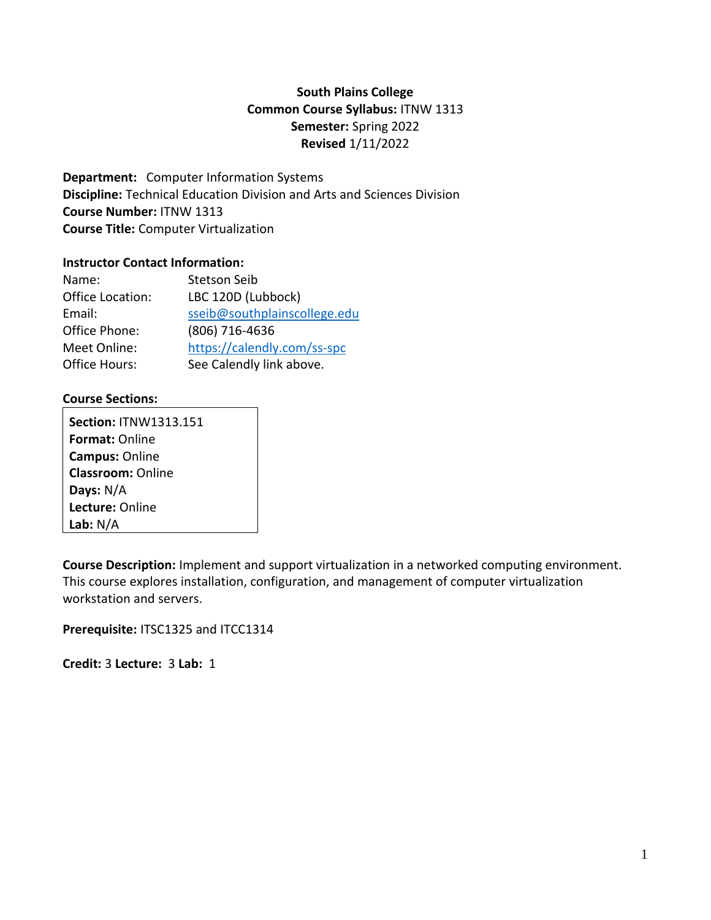# **South Plains College Common Course Syllabus:** ITNW 1313 **Semester:** Spring 2022 **Revised** 1/11/2022

**Department:** Computer Information Systems **Discipline:** Technical Education Division and Arts and Sciences Division **Course Number:** ITNW 1313 **Course Title:** Computer Virtualization

#### **Instructor Contact Information:**

| Name:            | <b>Stetson Seib</b>          |
|------------------|------------------------------|
| Office Location: | LBC 120D (Lubbock)           |
| Email:           | sseib@southplainscollege.edu |
| Office Phone:    | (806) 716-4636               |
| Meet Online:     | https://calendly.com/ss-spc  |
| Office Hours:    | See Calendly link above.     |

### **Course Sections:**

**Section:** ITNW1313.151 **Format:** Online **Campus:** Online **Classroom:** Online **Days:** N/A **Lecture:** Online **Lab:** N/A

**Course Description:** Implement and support virtualization in a networked computing environment. This course explores installation, configuration, and management of computer virtualization workstation and servers.

**Prerequisite:** ITSC1325 and ITCC1314

**Credit:** 3 **Lecture:** 3 **Lab:** 1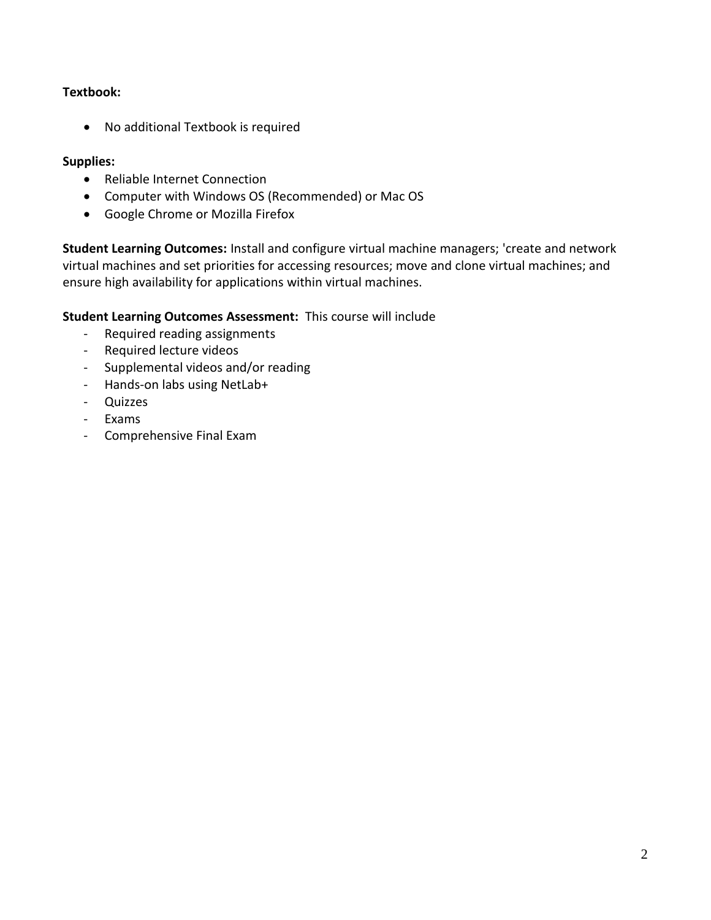### **Textbook:**

• No additional Textbook is required

#### **Supplies:**

- Reliable Internet Connection
- Computer with Windows OS (Recommended) or Mac OS
- Google Chrome or Mozilla Firefox

**Student Learning Outcomes:** Install and configure virtual machine managers; 'create and network virtual machines and set priorities for accessing resources; move and clone virtual machines; and ensure high availability for applications within virtual machines.

**Student Learning Outcomes Assessment:** This course will include

- Required reading assignments
- Required lecture videos
- Supplemental videos and/or reading
- Hands-on labs using NetLab+
- Quizzes
- Exams
- Comprehensive Final Exam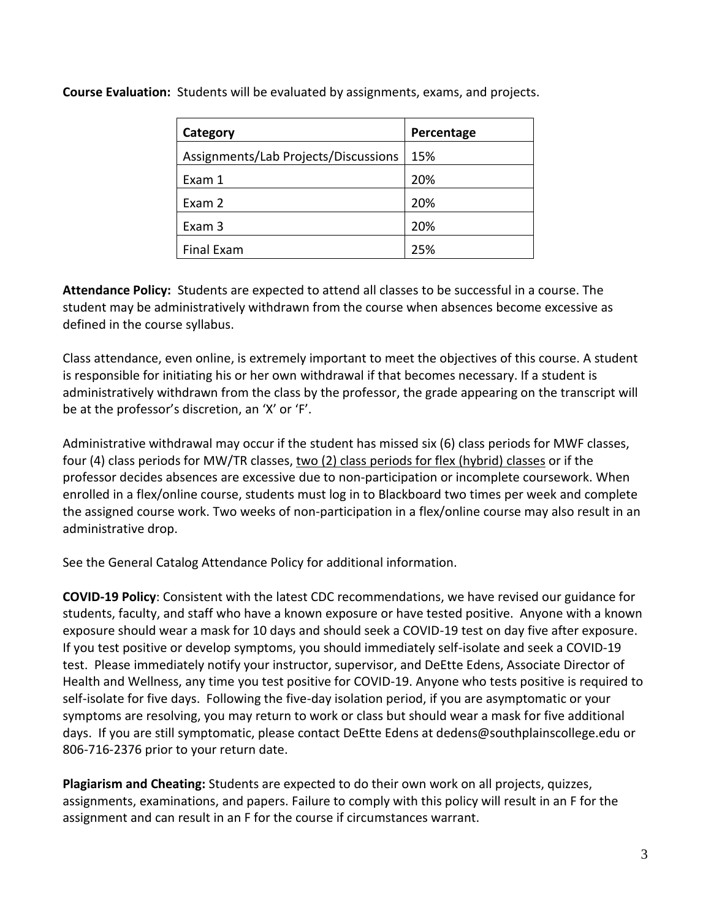| Category                             | Percentage |
|--------------------------------------|------------|
| Assignments/Lab Projects/Discussions | 15%        |
| Exam 1                               | 20%        |
| Exam 2                               | 20%        |
| Exam 3                               | 20%        |
| <b>Final Exam</b>                    | 25%        |

**Course Evaluation:** Students will be evaluated by assignments, exams, and projects.

**Attendance Policy:** Students are expected to attend all classes to be successful in a course. The student may be administratively withdrawn from the course when absences become excessive as defined in the course syllabus.

Class attendance, even online, is extremely important to meet the objectives of this course. A student is responsible for initiating his or her own withdrawal if that becomes necessary. If a student is administratively withdrawn from the class by the professor, the grade appearing on the transcript will be at the professor's discretion, an 'X' or 'F'.

Administrative withdrawal may occur if the student has missed six (6) class periods for MWF classes, four (4) class periods for MW/TR classes, two (2) class periods for flex (hybrid) classes or if the professor decides absences are excessive due to non-participation or incomplete coursework. When enrolled in a flex/online course, students must log in to Blackboard two times per week and complete the assigned course work. Two weeks of non-participation in a flex/online course may also result in an administrative drop.

See the General Catalog Attendance Policy for additional information.

**COVID-19 Policy**: Consistent with the latest CDC recommendations, we have revised our guidance for students, faculty, and staff who have a known exposure or have tested positive. Anyone with a known exposure should wear a mask for 10 days and should seek a COVID-19 test on day five after exposure. If you test positive or develop symptoms, you should immediately self-isolate and seek a COVID-19 test. Please immediately notify your instructor, supervisor, and DeEtte Edens, Associate Director of Health and Wellness, any time you test positive for COVID-19. Anyone who tests positive is required to self-isolate for five days. Following the five-day isolation period, if you are asymptomatic or your symptoms are resolving, you may return to work or class but should wear a mask for five additional days. If you are still symptomatic, please contact DeEtte Edens at dedens@southplainscollege.edu or 806-716-2376 prior to your return date.

**Plagiarism and Cheating:** Students are expected to do their own work on all projects, quizzes, assignments, examinations, and papers. Failure to comply with this policy will result in an F for the assignment and can result in an F for the course if circumstances warrant.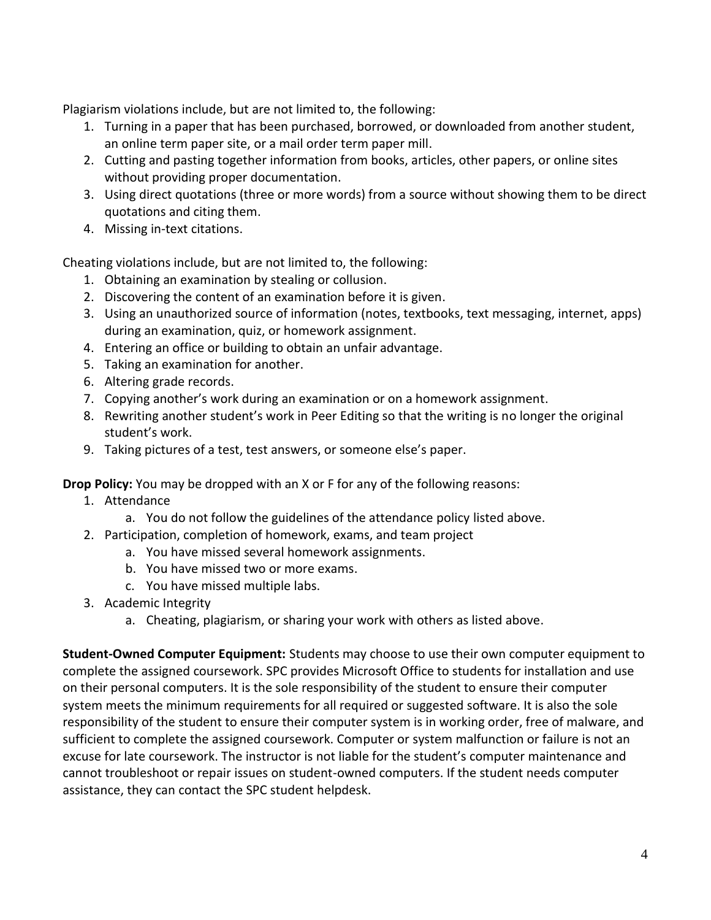Plagiarism violations include, but are not limited to, the following:

- 1. Turning in a paper that has been purchased, borrowed, or downloaded from another student, an online term paper site, or a mail order term paper mill.
- 2. Cutting and pasting together information from books, articles, other papers, or online sites without providing proper documentation.
- 3. Using direct quotations (three or more words) from a source without showing them to be direct quotations and citing them.
- 4. Missing in-text citations.

Cheating violations include, but are not limited to, the following:

- 1. Obtaining an examination by stealing or collusion.
- 2. Discovering the content of an examination before it is given.
- 3. Using an unauthorized source of information (notes, textbooks, text messaging, internet, apps) during an examination, quiz, or homework assignment.
- 4. Entering an office or building to obtain an unfair advantage.
- 5. Taking an examination for another.
- 6. Altering grade records.
- 7. Copying another's work during an examination or on a homework assignment.
- 8. Rewriting another student's work in Peer Editing so that the writing is no longer the original student's work.
- 9. Taking pictures of a test, test answers, or someone else's paper.

**Drop Policy:** You may be dropped with an X or F for any of the following reasons:

- 1. Attendance
	- a. You do not follow the guidelines of the attendance policy listed above.
- 2. Participation, completion of homework, exams, and team project
	- a. You have missed several homework assignments.
		- b. You have missed two or more exams.
		- c. You have missed multiple labs.
- 3. Academic Integrity
	- a. Cheating, plagiarism, or sharing your work with others as listed above.

**Student-Owned Computer Equipment:** Students may choose to use their own computer equipment to complete the assigned coursework. SPC provides Microsoft Office to students for installation and use on their personal computers. It is the sole responsibility of the student to ensure their computer system meets the minimum requirements for all required or suggested software. It is also the sole responsibility of the student to ensure their computer system is in working order, free of malware, and sufficient to complete the assigned coursework. Computer or system malfunction or failure is not an excuse for late coursework. The instructor is not liable for the student's computer maintenance and cannot troubleshoot or repair issues on student-owned computers. If the student needs computer assistance, they can contact the SPC student helpdesk.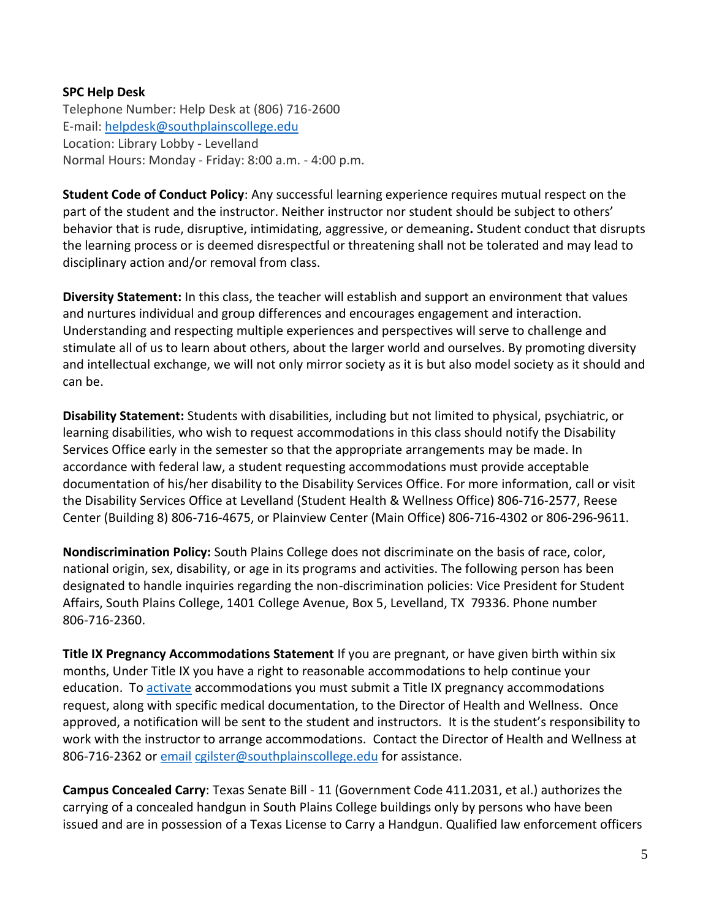## **SPC Help Desk**

Telephone Number: Help Desk at (806) 716-2600 E-mail: [helpdesk@southplainscollege.edu](mailto:helpdesk@southplainscollege.edu) Location: Library Lobby - Levelland Normal Hours: Monday - Friday: 8:00 a.m. - 4:00 p.m.

**Student Code of Conduct Policy**: Any successful learning experience requires mutual respect on the part of the student and the instructor. Neither instructor nor student should be subject to others' behavior that is rude, disruptive, intimidating, aggressive, or demeaning**.** Student conduct that disrupts the learning process or is deemed disrespectful or threatening shall not be tolerated and may lead to disciplinary action and/or removal from class.

**Diversity Statement:** In this class, the teacher will establish and support an environment that values and nurtures individual and group differences and encourages engagement and interaction. Understanding and respecting multiple experiences and perspectives will serve to challenge and stimulate all of us to learn about others, about the larger world and ourselves. By promoting diversity and intellectual exchange, we will not only mirror society as it is but also model society as it should and can be.

**Disability Statement:** Students with disabilities, including but not limited to physical, psychiatric, or learning disabilities, who wish to request accommodations in this class should notify the Disability Services Office early in the semester so that the appropriate arrangements may be made. In accordance with federal law, a student requesting accommodations must provide acceptable documentation of his/her disability to the Disability Services Office. For more information, call or visit the Disability Services Office at Levelland (Student Health & Wellness Office) 806-716-2577, Reese Center (Building 8) 806-716-4675, or Plainview Center (Main Office) 806-716-4302 or 806-296-9611.

**Nondiscrimination Policy:** South Plains College does not discriminate on the basis of race, color, national origin, sex, disability, or age in its programs and activities. The following person has been designated to handle inquiries regarding the non-discrimination policies: Vice President for Student Affairs, South Plains College, 1401 College Avenue, Box 5, Levelland, TX 79336. Phone number 806-716-2360.

**Title IX Pregnancy Accommodations Statement** If you are pregnant, or have given birth within six months, Under Title IX you have a right to reasonable accommodations to help continue your education. To [activate](http://www.southplainscollege.edu/employees/manualshandbooks/facultyhandbook/sec4.php) accommodations you must submit a Title IX pregnancy accommodations request, along with specific medical documentation, to the Director of Health and Wellness. Once approved, a notification will be sent to the student and instructors. It is the student's responsibility to work with the instructor to arrange accommodations. Contact the Director of Health and Wellness at 806-716-2362 or [email](http://www.southplainscollege.edu/employees/manualshandbooks/facultyhandbook/sec4.php) [cgilster@southplainscollege.edu](mailto:cgilster@southplainscollege.edu) for assistance.

**Campus Concealed Carry**: Texas Senate Bill - 11 (Government Code 411.2031, et al.) authorizes the carrying of a concealed handgun in South Plains College buildings only by persons who have been issued and are in possession of a Texas License to Carry a Handgun. Qualified law enforcement officers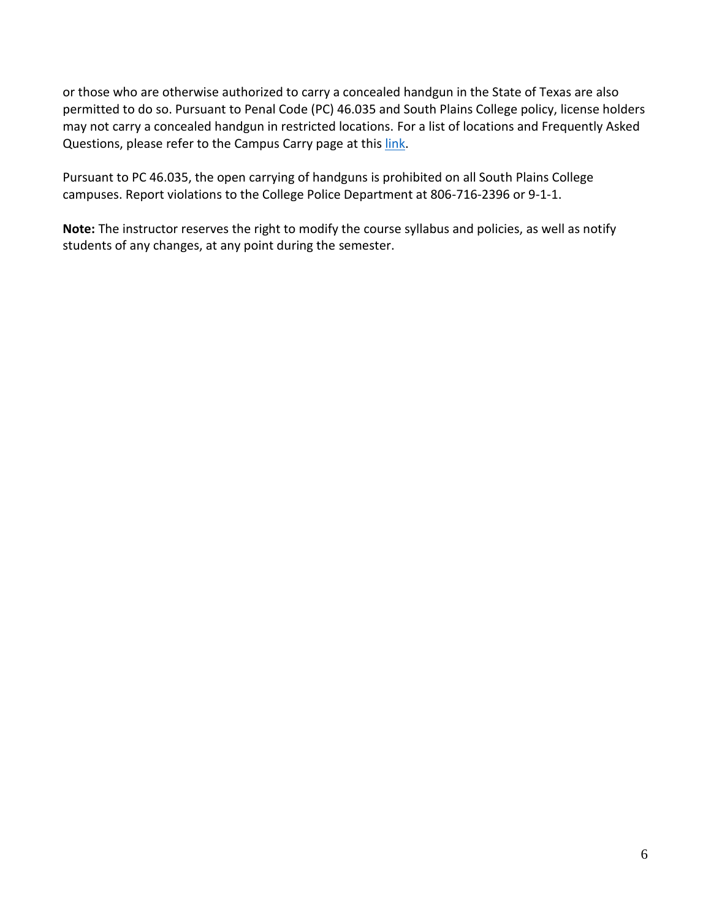or those who are otherwise authorized to carry a concealed handgun in the State of Texas are also permitted to do so. Pursuant to Penal Code (PC) 46.035 and South Plains College policy, license holders may not carry a concealed handgun in restricted locations. For a list of locations and Frequently Asked Questions, please refer to the Campus Carry page at thi[s link.](http://www.southplainscollege.edu/campuscarry.php)

Pursuant to PC 46.035, the open carrying of handguns is prohibited on all South Plains College campuses. Report violations to the College Police Department at 806-716-2396 or 9-1-1.

**Note:** The instructor reserves the right to modify the course syllabus and policies, as well as notify students of any changes, at any point during the semester.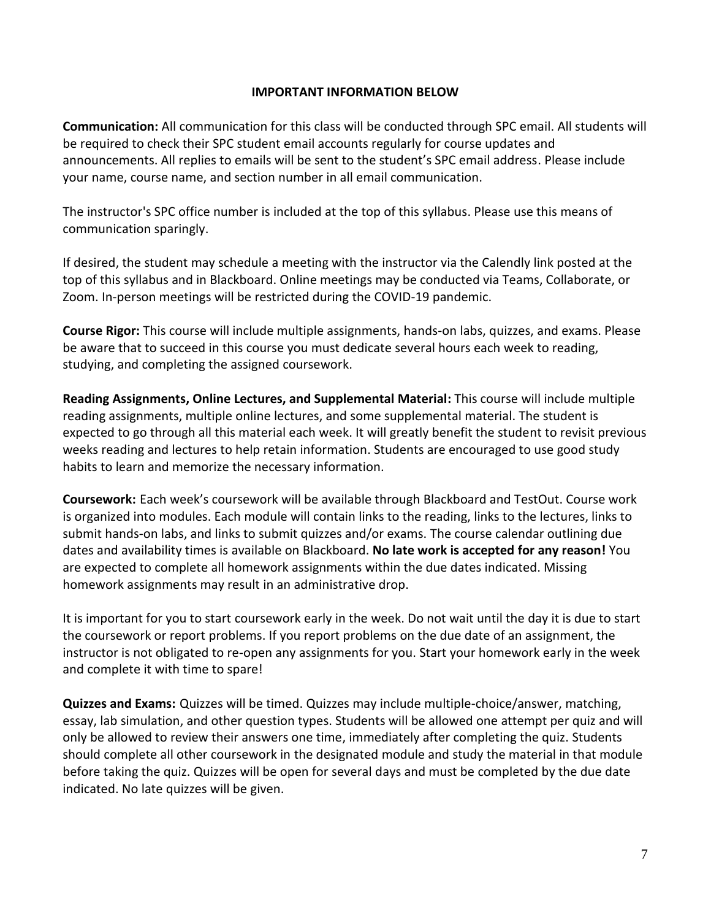#### **IMPORTANT INFORMATION BELOW**

**Communication:** All communication for this class will be conducted through SPC email. All students will be required to check their SPC student email accounts regularly for course updates and announcements. All replies to emails will be sent to the student's SPC email address. Please include your name, course name, and section number in all email communication.

The instructor's SPC office number is included at the top of this syllabus. Please use this means of communication sparingly.

If desired, the student may schedule a meeting with the instructor via the Calendly link posted at the top of this syllabus and in Blackboard. Online meetings may be conducted via Teams, Collaborate, or Zoom. In-person meetings will be restricted during the COVID-19 pandemic.

**Course Rigor:** This course will include multiple assignments, hands-on labs, quizzes, and exams. Please be aware that to succeed in this course you must dedicate several hours each week to reading, studying, and completing the assigned coursework.

**Reading Assignments, Online Lectures, and Supplemental Material:** This course will include multiple reading assignments, multiple online lectures, and some supplemental material. The student is expected to go through all this material each week. It will greatly benefit the student to revisit previous weeks reading and lectures to help retain information. Students are encouraged to use good study habits to learn and memorize the necessary information.

**Coursework:** Each week's coursework will be available through Blackboard and TestOut. Course work is organized into modules. Each module will contain links to the reading, links to the lectures, links to submit hands-on labs, and links to submit quizzes and/or exams. The course calendar outlining due dates and availability times is available on Blackboard. **No late work is accepted for any reason!** You are expected to complete all homework assignments within the due dates indicated. Missing homework assignments may result in an administrative drop.

It is important for you to start coursework early in the week. Do not wait until the day it is due to start the coursework or report problems. If you report problems on the due date of an assignment, the instructor is not obligated to re-open any assignments for you. Start your homework early in the week and complete it with time to spare!

**Quizzes and Exams:** Quizzes will be timed. Quizzes may include multiple-choice/answer, matching, essay, lab simulation, and other question types. Students will be allowed one attempt per quiz and will only be allowed to review their answers one time, immediately after completing the quiz. Students should complete all other coursework in the designated module and study the material in that module before taking the quiz. Quizzes will be open for several days and must be completed by the due date indicated. No late quizzes will be given.